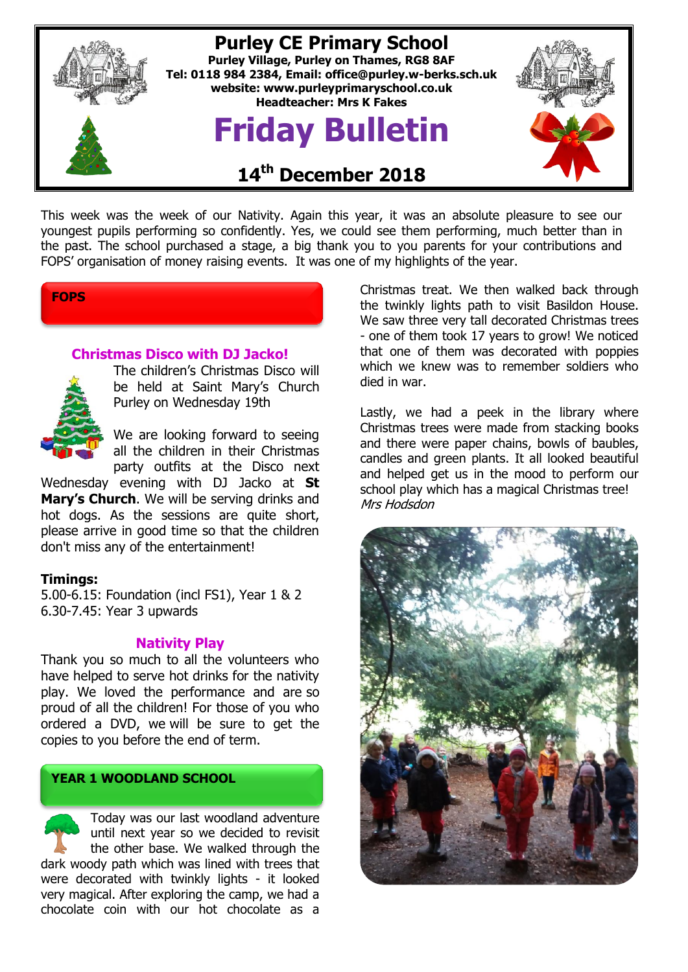

This week was the week of our Nativity. Again this year, it was an absolute pleasure to see our youngest pupils performing so confidently. Yes, we could see them performing, much better than in the past. The school purchased a stage, a big thank you to you parents for your contributions and FOPS' organisation of money raising events. It was one of my highlights of the year.

# **FOPS**

# **Christmas Disco with DJ Jacko!**



The children's Christmas Disco will be held at Saint Mary's Church Purley on Wednesday 19th

We are looking forward to seeing all the children in their Christmas party outfits at the Disco next

Wednesday evening with DJ Jacko at **St Mary's Church**. We will be serving drinks and hot dogs. As the sessions are quite short, please arrive in good time so that the children don't miss any of the entertainment!

### **Timings:**

5.00-6.15: Foundation (incl FS1), Year 1 & 2 6.30-7.45: Year 3 upwards

### **Nativity Play**

Thank you so much to all the volunteers who have helped to serve hot drinks for the nativity play. We loved the performance and are so proud of all the children! For those of you who ordered a DVD, we will be sure to get the copies to you before the end of term.

# **YEAR 1 WOODLAND SCHOOL**

Today was our last woodland adventure until next year so we decided to revisit the other base. We walked through the dark woody path which was lined with trees that were decorated with twinkly lights - it looked very magical. After exploring the camp, we had a chocolate coin with our hot chocolate as a

Christmas treat. We then walked back through the twinkly lights path to visit Basildon House. We saw three very tall decorated Christmas trees - one of them took 17 years to grow! We noticed that one of them was decorated with poppies which we knew was to remember soldiers who died in war.

Lastly, we had a peek in the library where Christmas trees were made from stacking books and there were paper chains, bowls of baubles, candles and green plants. It all looked beautiful and helped get us in the mood to perform our school play which has a magical Christmas tree! Mrs Hodsdon

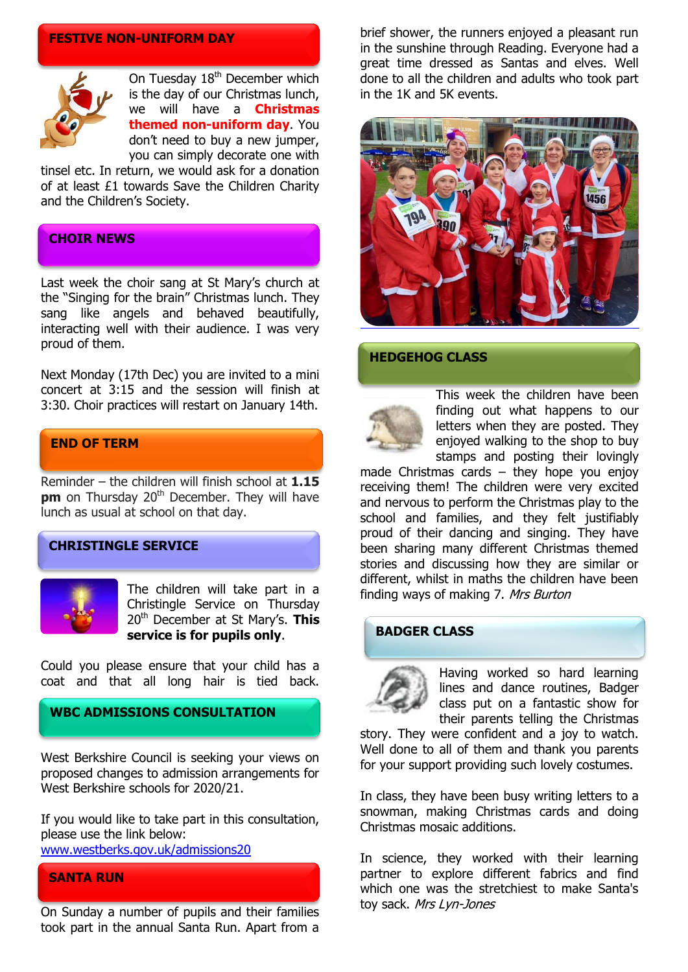#### **FESTIVE NON-UNIFORM DAY**



On Tuesday 18<sup>th</sup> December which is the day of our Christmas lunch, we will have a **Christmas themed non-uniform day**. You don't need to buy a new jumper, you can simply decorate one with

tinsel etc. In return, we would ask for a donation of at least £1 towards Save the Children Charity and the Children's Society.

#### **CHOIR NEWS**

Last week the choir sang at St Mary's church at the "Singing for the brain" Christmas lunch. They sang like angels and behaved beautifully, interacting well with their audience. I was very proud of them.

Next Monday (17th Dec) you are invited to a mini concert at 3:15 and the session will finish at 3:30. Choir practices will restart on January 14th.

# **END OF TERM**

Reminder – the children will finish school at **1.15 pm** on Thursday 20<sup>th</sup> December. They will have lunch as usual at school on that day.

# **CHRISTINGLE SERVICE**



The children will take part in a Christingle Service on Thursday 20th December at St Mary's. **This service is for pupils only**.

Could you please ensure that your child has a coat and that all long hair is tied back.

# **WBC ADMISSIONS CONSULTATION**

West Berkshire Council is seeking your views on proposed changes to admission arrangements for West Berkshire schools for 2020/21.

If you would like to take part in this consultation, please use the link below:

[www.westberks.gov.uk/admissions20](http://www.westberks.gov.uk/admissions20)

### **SANTA RUN**

On Sunday a number of pupils and their families took part in the annual Santa Run. Apart from a brief shower, the runners enjoyed a pleasant run in the sunshine through Reading. Everyone had a great time dressed as Santas and elves. Well done to all the children and adults who took part in the 1K and 5K events.



#### **HEDGEHOG CLASS**



This week the children have been finding out what happens to our letters when they are posted. They enjoyed walking to the shop to buy stamps and posting their lovingly

made Christmas cards – they hope you enjoy receiving them! The children were very excited and nervous to perform the Christmas play to the school and families, and they felt justifiably proud of their dancing and singing. They have been sharing many different Christmas themed stories and discussing how they are similar or different, whilst in maths the children have been finding ways of making 7. Mrs Burton

# **BADGER CLASS**



Having worked so hard learning lines and dance routines, Badger class put on a fantastic show for their parents telling the Christmas

story. They were confident and a joy to watch. Well done to all of them and thank you parents for your support providing such lovely costumes.

In class, they have been busy writing letters to a snowman, making Christmas cards and doing Christmas mosaic additions.

In science, they worked with their learning partner to explore different fabrics and find which one was the stretchiest to make Santa's toy sack. Mrs Lyn-Jones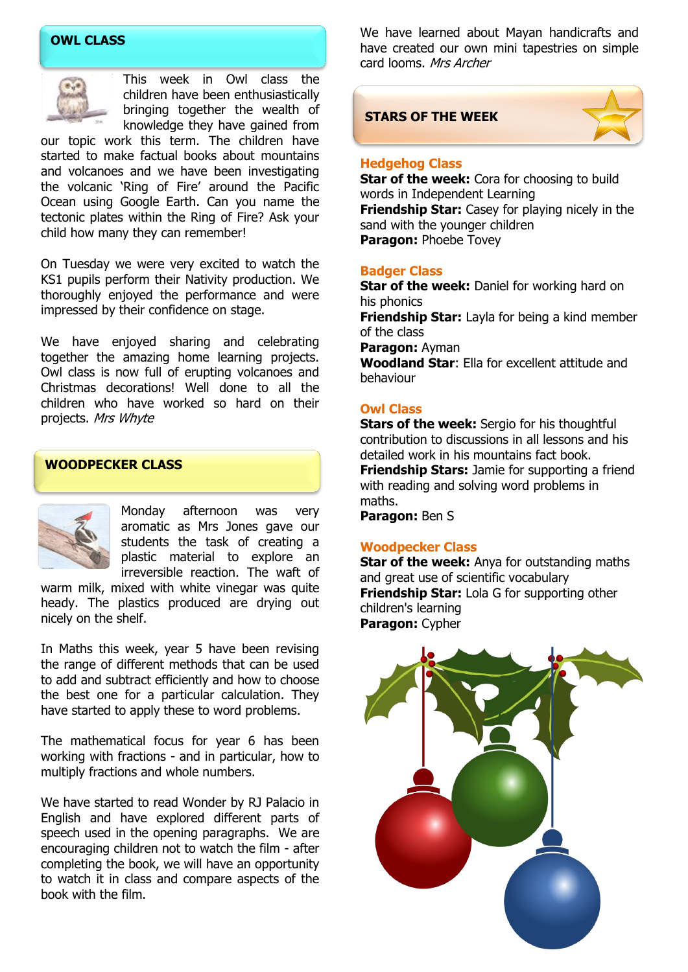# **OWL CLASS**



This week in Owl class the children have been enthusiastically bringing together the wealth of knowledge they have gained from

our topic work this term. The children have started to make factual books about mountains and volcanoes and we have been investigating the volcanic 'Ring of Fire' around the Pacific Ocean using Google Earth. Can you name the tectonic plates within the Ring of Fire? Ask your child how many they can remember!

On Tuesday we were very excited to watch the KS1 pupils perform their Nativity production. We thoroughly enjoyed the performance and were impressed by their confidence on stage.

We have enjoyed sharing and celebrating together the amazing home learning projects. Owl class is now full of erupting volcanoes and Christmas decorations! Well done to all the children who have worked so hard on their projects. Mrs Whyte

# **WOODPECKER CLASS**



Monday afternoon was very aromatic as Mrs Jones gave our students the task of creating a plastic material to explore an irreversible reaction. The waft of

warm milk, mixed with white vinegar was quite heady. The plastics produced are drying out nicely on the shelf.

In Maths this week, year 5 have been revising the range of different methods that can be used to add and subtract efficiently and how to choose the best one for a particular calculation. They have started to apply these to word problems.

The mathematical focus for year 6 has been working with fractions - and in particular, how to multiply fractions and whole numbers.

We have started to read Wonder by RJ Palacio in English and have explored different parts of speech used in the opening paragraphs. We are encouraging children not to watch the film - after completing the book, we will have an opportunity to watch it in class and compare aspects of the book with the film.

We have learned about Mayan handicrafts and have created our own mini tapestries on simple card looms. Mrs Archer

### **STARS OF THE WEEK**



#### **Hedgehog Class**

**Star of the week:** Cora for choosing to build words in Independent Learning **Friendship Star:** Casey for playing nicely in the sand with the younger children **Paragon:** Phoebe Tovey

#### **Badger Class**

**Star of the week:** Daniel for working hard on his phonics **Friendship Star:** Layla for being a kind member of the class **Paragon:** Ayman **Woodland Star**: Ella for excellent attitude and behaviour

#### **Owl Class**

**Stars of the week:** Sergio for his thoughtful contribution to discussions in all lessons and his detailed work in his mountains fact book. **Friendship Stars:** Jamie for supporting a friend with reading and solving word problems in maths.

**Paragon:** Ben S

#### **Woodpecker Class**

**Star of the week:** Anya for outstanding maths and great use of scientific vocabulary **Friendship Star:** Lola G for supporting other children's learning **Paragon:** Cypher